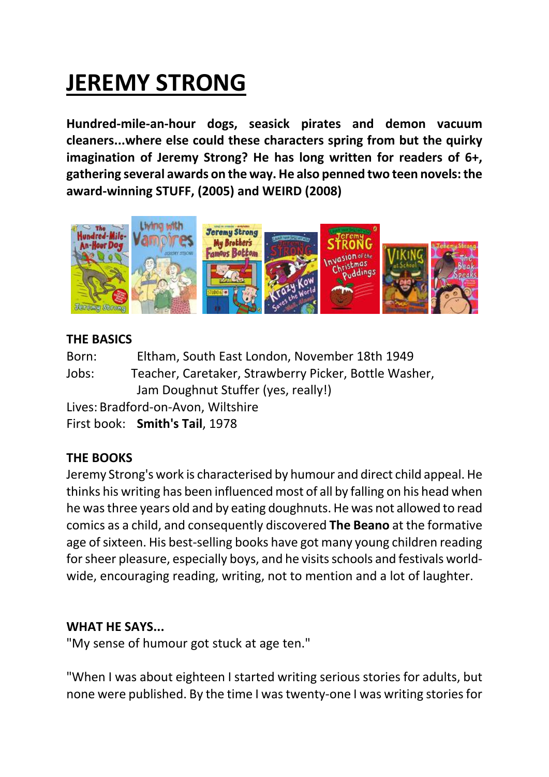# **JEREMY STRONG**

**Hundred‐mile‐an‐hour dogs, seasick pirates and demon vacuum cleaners...where else could these characters spring from but the quirky imagination of Jeremy Strong? He has long written for readers of 6+, gathering several awards on the way. He also penned two teen novels:the award‐winning STUFF, (2005) and WEIRD (2008)**



## **THE BASICS**

Born: Eltham, South East London, November 18th 1949 Jobs: Teacher, Caretaker, Strawberry Picker, Bottle Washer, Jam Doughnut Stuffer (yes, really!) Lives: Bradford‐on‐Avon, Wiltshire

First book: **Smith's Tail**, 1978

# **THE BOOKS**

Jeremy Strong's work is characterised by humour and direct child appeal. He thinks his writing has been influenced most of all by falling on his head when he wasthree years old and by eating doughnuts. He was not allowed to read comics as a child, and consequently discovered **The Beano** at the formative age of sixteen. His best-selling books have got many young children reading for sheer pleasure, especially boys, and he visits schools and festivals worldwide, encouraging reading, writing, not to mention and a lot of laughter.

# **WHAT HE SAYS...**

"My sense of humour got stuck at age ten."

"When I was about eighteen I started writing serious stories for adults, but none were published. By the time I was twenty-one I was writing stories for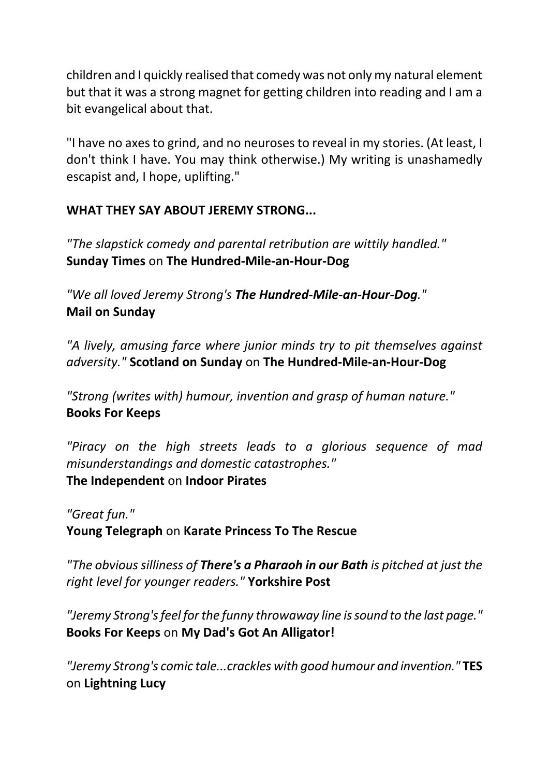children and I quickly realised that comedy was not only my natural element but that it was a strong magnet for getting children into reading and I am a bit evangelical about that.

"I have no axes to grind, and no neuroses to reveal in my stories. (At least, I don't think I have. You may think otherwise.) My writing is unashamedly escapist and, I hope, uplifting."

## **WHAT THEY SAY ABOUT JEREMY STRONG...**

*"The slapstick comedy and parental retribution are wittily handled."*  **Sunday Times** on **The Hundred‐Mile‐an‐Hour‐Dog**

*"We all loved Jeremy Strong's The Hundred‐Mile‐an‐Hour‐Dog."*  **Mail on Sunday**

*"A lively, amusing farce where junior minds try to pit themselves against adversity."* **Scotland on Sunday** on **The Hundred‐Mile‐an‐Hour‐Dog**

*"Strong (writes with) humour, invention and grasp of human nature."*  **Books For Keeps**

*"Piracy on the high streets leads to a glorious sequence of mad misunderstandings and domestic catastrophes."* 

#### **The Independent** on **Indoor Pirates**

*"Great fun."*  **Young Telegraph** on **Karate Princess To The Rescue**

*"The obvious silliness of There's a Pharaoh in our Bath is pitched at just the right level for younger readers."* **Yorkshire Post**

*"Jeremy Strong'sfeel forthe funny throwaway line issound to the last page."* **Books For Keeps** on **My Dad's Got An Alligator!**

*"Jeremy Strong's comic tale...crackles with good humour and invention."* **TES** on **Lightning Lucy**